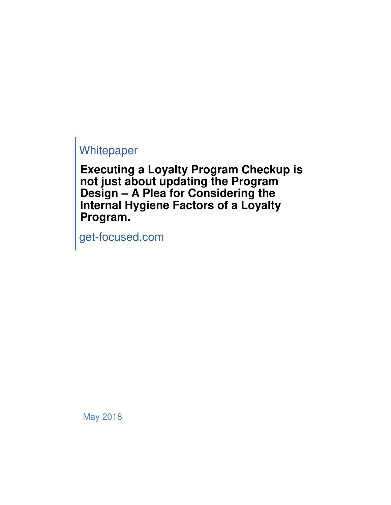# **Whitepaper**

**Executing a Loyalty Program Checkup is not just about updating the Program Design – A Plea for Considering the Internal Hygiene Factors of a Loyalty Program.**

get-focused.com

May 2018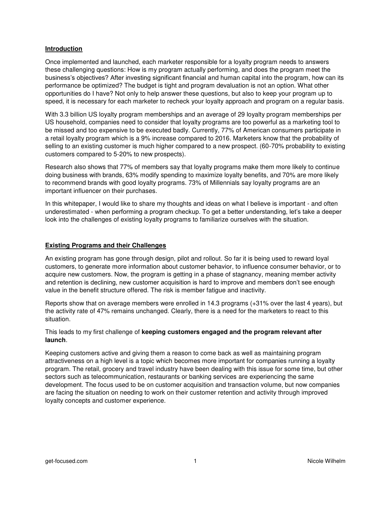# **Introduction**

Once implemented and launched, each marketer responsible for a loyalty program needs to answers these challenging questions: How is my program actually performing, and does the program meet the business's objectives? After investing significant financial and human capital into the program, how can its performance be optimized? The budget is tight and program devaluation is not an option. What other opportunities do I have? Not only to help answer these questions, but also to keep your program up to speed, it is necessary for each marketer to recheck your loyalty approach and program on a regular basis.

With 3.3 billion US loyalty program memberships and an average of 29 loyalty program memberships per US household, companies need to consider that loyalty programs are too powerful as a marketing tool to be missed and too expensive to be executed badly. Currently, 77% of American consumers participate in a retail loyalty program which is a 9% increase compared to 2016. Marketers know that the probability of selling to an existing customer is much higher compared to a new prospect. (60-70% probability to existing customers compared to 5-20% to new prospects).

Research also shows that 77% of members say that loyalty programs make them more likely to continue doing business with brands, 63% modify spending to maximize loyalty benefits, and 70% are more likely to recommend brands with good loyalty programs. 73% of Millennials say loyalty programs are an important influencer on their purchases.

In this whitepaper, I would like to share my thoughts and ideas on what I believe is important - and often underestimated - when performing a program checkup. To get a better understanding, let's take a deeper look into the challenges of existing loyalty programs to familiarize ourselves with the situation.

# **Existing Programs and their Challenges**

An existing program has gone through design, pilot and rollout. So far it is being used to reward loyal customers, to generate more information about customer behavior, to influence consumer behavior, or to acquire new customers. Now, the program is getting in a phase of stagnancy, meaning member activity and retention is declining, new customer acquisition is hard to improve and members don't see enough value in the benefit structure offered. The risk is member fatigue and inactivity.

Reports show that on average members were enrolled in 14.3 programs (+31% over the last 4 years), but the activity rate of 47% remains unchanged. Clearly, there is a need for the marketers to react to this situation.

# This leads to my first challenge of **keeping customers engaged and the program relevant after launch**.

Keeping customers active and giving them a reason to come back as well as maintaining program attractiveness on a high level is a topic which becomes more important for companies running a loyalty program. The retail, grocery and travel industry have been dealing with this issue for some time, but other sectors such as telecommunication, restaurants or banking services are experiencing the same development. The focus used to be on customer acquisition and transaction volume, but now companies are facing the situation on needing to work on their customer retention and activity through improved loyalty concepts and customer experience.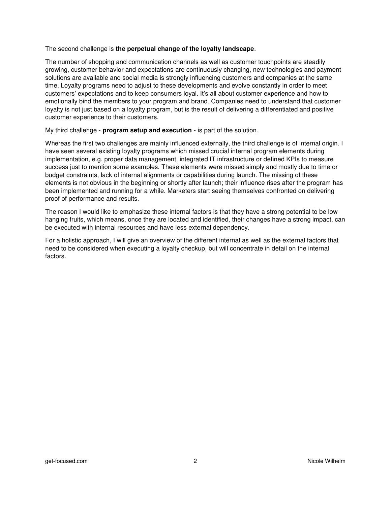## The second challenge is **the perpetual change of the loyalty landscape**.

The number of shopping and communication channels as well as customer touchpoints are steadily growing, customer behavior and expectations are continuously changing, new technologies and payment solutions are available and social media is strongly influencing customers and companies at the same time. Loyalty programs need to adjust to these developments and evolve constantly in order to meet customers' expectations and to keep consumers loyal. It's all about customer experience and how to emotionally bind the members to your program and brand. Companies need to understand that customer loyalty is not just based on a loyalty program, but is the result of delivering a differentiated and positive customer experience to their customers.

My third challenge - **program setup and execution** - is part of the solution.

Whereas the first two challenges are mainly influenced externally, the third challenge is of internal origin. I have seen several existing loyalty programs which missed crucial internal program elements during implementation, e.g. proper data management, integrated IT infrastructure or defined KPIs to measure success just to mention some examples. These elements were missed simply and mostly due to time or budget constraints, lack of internal alignments or capabilities during launch. The missing of these elements is not obvious in the beginning or shortly after launch; their influence rises after the program has been implemented and running for a while. Marketers start seeing themselves confronted on delivering proof of performance and results.

The reason I would like to emphasize these internal factors is that they have a strong potential to be low hanging fruits, which means, once they are located and identified, their changes have a strong impact, can be executed with internal resources and have less external dependency.

For a holistic approach, I will give an overview of the different internal as well as the external factors that need to be considered when executing a loyalty checkup, but will concentrate in detail on the internal factors.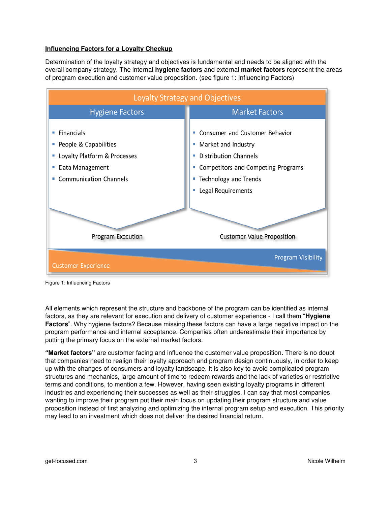# **Influencing Factors for a Loyalty Checkup**

Determination of the loyalty strategy and objectives is fundamental and needs to be aligned with the overall company strategy. The internal **hygiene factors** and external **market factors** represent the areas of program execution and customer value proposition. (see figure 1: Influencing Factors)



Figure 1: Influencing Factors

All elements which represent the structure and backbone of the program can be identified as internal factors, as they are relevant for execution and delivery of customer experience - I call them "**Hygiene Factors**". Why hygiene factors? Because missing these factors can have a large negative impact on the program performance and internal acceptance. Companies often underestimate their importance by putting the primary focus on the external market factors.

**"Market factors"** are customer facing and influence the customer value proposition. There is no doubt that companies need to realign their loyalty approach and program design continuously, in order to keep up with the changes of consumers and loyalty landscape. It is also key to avoid complicated program structures and mechanics, large amount of time to redeem rewards and the lack of varieties or restrictive terms and conditions, to mention a few. However, having seen existing loyalty programs in different industries and experiencing their successes as well as their struggles, I can say that most companies wanting to improve their program put their main focus on updating their program structure and value proposition instead of first analyzing and optimizing the internal program setup and execution. This priority may lead to an investment which does not deliver the desired financial return.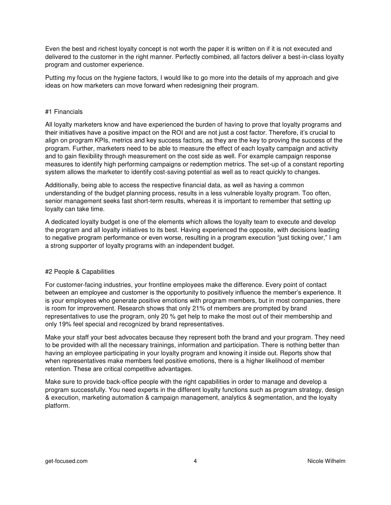Even the best and richest loyalty concept is not worth the paper it is written on if it is not executed and delivered to the customer in the right manner. Perfectly combined, all factors deliver a best-in-class loyalty program and customer experience.

Putting my focus on the hygiene factors, I would like to go more into the details of my approach and give ideas on how marketers can move forward when redesigning their program.

## #1 Financials

All loyalty marketers know and have experienced the burden of having to prove that loyalty programs and their initiatives have a positive impact on the ROI and are not just a cost factor. Therefore, it's crucial to align on program KPIs, metrics and key success factors, as they are the key to proving the success of the program. Further, marketers need to be able to measure the effect of each loyalty campaign and activity and to gain flexibility through measurement on the cost side as well. For example campaign response measures to identify high performing campaigns or redemption metrics. The set-up of a constant reporting system allows the marketer to identify cost-saving potential as well as to react quickly to changes.

Additionally, being able to access the respective financial data, as well as having a common understanding of the budget planning process, results in a less vulnerable loyalty program. Too often, senior management seeks fast short-term results, whereas it is important to remember that setting up loyalty can take time.

A dedicated loyalty budget is one of the elements which allows the loyalty team to execute and develop the program and all loyalty initiatives to its best. Having experienced the opposite, with decisions leading to negative program performance or even worse, resulting in a program execution "just ticking over," I am a strong supporter of loyalty programs with an independent budget.

#### #2 People & Capabilities

For customer-facing industries, your frontline employees make the difference. Every point of contact between an employee and customer is the opportunity to positively influence the member's experience. It is your employees who generate positive emotions with program members, but in most companies, there is room for improvement. Research shows that only 21% of members are prompted by brand representatives to use the program, only 20 % get help to make the most out of their membership and only 19% feel special and recognized by brand representatives.

Make your staff your best advocates because they represent both the brand and your program. They need to be provided with all the necessary trainings, information and participation. There is nothing better than having an employee participating in your loyalty program and knowing it inside out. Reports show that when representatives make members feel positive emotions, there is a higher likelihood of member retention. These are critical competitive advantages.

Make sure to provide back-office people with the right capabilities in order to manage and develop a program successfully. You need experts in the different loyalty functions such as program strategy, design & execution, marketing automation & campaign management, analytics & segmentation, and the loyalty platform.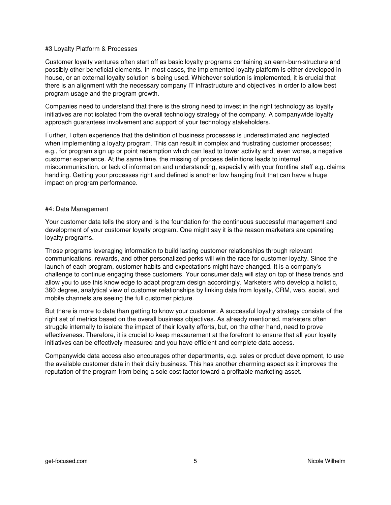## #3 Loyalty Platform & Processes

Customer loyalty ventures often start off as basic loyalty programs containing an earn-burn-structure and possibly other beneficial elements. In most cases, the implemented loyalty platform is either developed inhouse, or an external loyalty solution is being used. Whichever solution is implemented, it is crucial that there is an alignment with the necessary company IT infrastructure and objectives in order to allow best program usage and the program growth.

Companies need to understand that there is the strong need to invest in the right technology as loyalty initiatives are not isolated from the overall technology strategy of the company. A companywide loyalty approach guarantees involvement and support of your technology stakeholders.

Further, I often experience that the definition of business processes is underestimated and neglected when implementing a loyalty program. This can result in complex and frustrating customer processes; e.g., for program sign up or point redemption which can lead to lower activity and, even worse, a negative customer experience. At the same time, the missing of process definitions leads to internal miscommunication, or lack of information and understanding, especially with your frontline staff e.g. claims handling. Getting your processes right and defined is another low hanging fruit that can have a huge impact on program performance.

### #4: Data Management

Your customer data tells the story and is the foundation for the continuous successful management and development of your customer loyalty program. One might say it is the reason marketers are operating loyalty programs.

Those programs leveraging information to build lasting customer relationships through relevant communications, rewards, and other personalized perks will win the race for customer loyalty. Since the launch of each program, customer habits and expectations might have changed. It is a company's challenge to continue engaging these customers. Your consumer data will stay on top of these trends and allow you to use this knowledge to adapt program design accordingly. Marketers who develop a holistic, 360 degree, analytical view of customer relationships by linking data from loyalty, CRM, web, social, and mobile channels are seeing the full customer picture.

But there is more to data than getting to know your customer. A successful loyalty strategy consists of the right set of metrics based on the overall business objectives. As already mentioned, marketers often struggle internally to isolate the impact of their loyalty efforts, but, on the other hand, need to prove effectiveness. Therefore, it is crucial to keep measurement at the forefront to ensure that all your loyalty initiatives can be effectively measured and you have efficient and complete data access.

Companywide data access also encourages other departments, e.g. sales or product development, to use the available customer data in their daily business. This has another charming aspect as it improves the reputation of the program from being a sole cost factor toward a profitable marketing asset.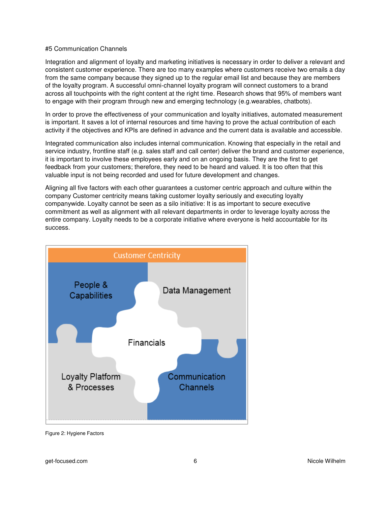## #5 Communication Channels

Integration and alignment of loyalty and marketing initiatives is necessary in order to deliver a relevant and consistent customer experience. There are too many examples where customers receive two emails a day from the same company because they signed up to the regular email list and because they are members of the loyalty program. A successful omni-channel loyalty program will connect customers to a brand across all touchpoints with the right content at the right time. Research shows that 95% of members want to engage with their program through new and emerging technology (e.g.wearables, chatbots).

In order to prove the effectiveness of your communication and loyalty initiatives, automated measurement is important. It saves a lot of internal resources and time having to prove the actual contribution of each activity if the objectives and KPIs are defined in advance and the current data is available and accessible.

Integrated communication also includes internal communication. Knowing that especially in the retail and service industry, frontline staff (e.g. sales staff and call center) deliver the brand and customer experience, it is important to involve these employees early and on an ongoing basis. They are the first to get feedback from your customers; therefore, they need to be heard and valued. It is too often that this valuable input is not being recorded and used for future development and changes.

Aligning all five factors with each other guarantees a customer centric approach and culture within the company Customer centricity means taking customer loyalty seriously and executing loyalty companywide. Loyalty cannot be seen as a silo initiative: It is as important to secure executive commitment as well as alignment with all relevant departments in order to leverage loyalty across the entire company. Loyalty needs to be a corporate initiative where everyone is held accountable for its success.



Figure 2: Hygiene Factors